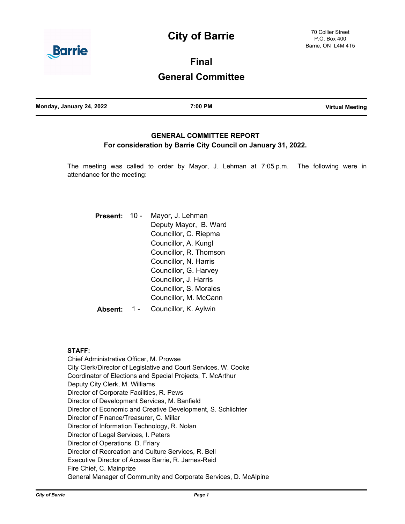# **City of Barrie**



**Final**

# **General Committee**

| Monday, January 24, 2022 | 7:00 PM | <b>Virtual Meeting</b> |
|--------------------------|---------|------------------------|
|                          |         |                        |

# **GENERAL COMMITTEE REPORT For consideration by Barrie City Council on January 31, 2022.**

The meeting was called to order by Mayor, J. Lehman at 7:05 p.m. The following were in attendance for the meeting:

| <b>Present:</b> | $10 -$ | Mayor, J. Lehman<br>Deputy Mayor, B. Ward<br>Councillor, C. Riepma<br>Councillor, A. Kungl<br>Councillor, R. Thomson<br>Councillor, N. Harris<br>Councillor, G. Harvey<br>Councillor, J. Harris<br>Councillor, S. Morales |
|-----------------|--------|---------------------------------------------------------------------------------------------------------------------------------------------------------------------------------------------------------------------------|
|                 |        | Councillor, M. McCann                                                                                                                                                                                                     |
| Absent:         |        | Councillor, K. Aylwin                                                                                                                                                                                                     |

### **STAFF:**

Chief Administrative Officer, M. Prowse City Clerk/Director of Legislative and Court Services, W. Cooke Coordinator of Elections and Special Projects, T. McArthur Deputy City Clerk, M. Williams Director of Corporate Facilities, R. Pews Director of Development Services, M. Banfield Director of Economic and Creative Development, S. Schlichter Director of Finance/Treasurer, C. Millar Director of Information Technology, R. Nolan Director of Legal Services, I. Peters Director of Operations, D. Friary Director of Recreation and Culture Services, R. Bell Executive Director of Access Barrie, R. James-Reid Fire Chief, C. Mainprize General Manager of Community and Corporate Services, D. McAlpine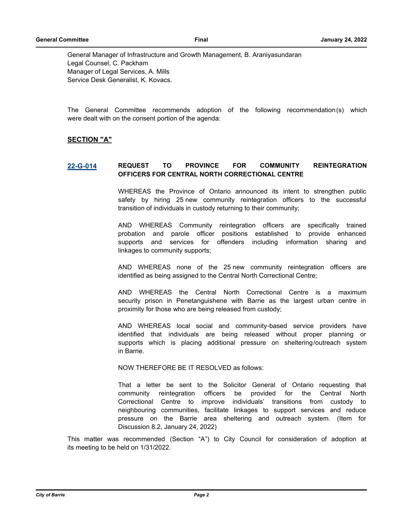General Manager of Infrastructure and Growth Management, B. Araniyasundaran Legal Counsel, C. Packham Manager of Legal Services, A. Mills Service Desk Generalist, K. Kovacs.

The General Committee recommends adoption of the following recommendation(s) which were dealt with on the consent portion of the agenda:

#### **SECTION "A"**

### **[22-G-014](http://barrie.ca.legistar.com/gateway.aspx?m=l&id=/matter.aspx?key=50027) REQUEST TO PROVINCE FOR COMMUNITY REINTEGRATION OFFICERS FOR CENTRAL NORTH CORRECTIONAL CENTRE**

WHEREAS the Province of Ontario announced its intent to strengthen public safety by hiring 25 new community reintegration officers to the successful transition of individuals in custody returning to their community;

AND WHEREAS Community reintegration officers are specifically trained probation and parole officer positions established to provide enhanced supports and services for offenders including information sharing and linkages to community supports;

AND WHEREAS none of the 25 new community reintegration officers are identified as being assigned to the Central North Correctional Centre;

AND WHEREAS the Central North Correctional Centre is a maximum security prison in Penetanguishene with Barrie as the largest urban centre in proximity for those who are being released from custody;

AND WHEREAS local social and community-based service providers have identified that individuals are being released without proper planning or supports which is placing additional pressure on sheltering/outreach system in Barrie.

NOW THEREFORE BE IT RESOLVED as follows:

That a letter be sent to the Solicitor General of Ontario requesting that community reintegration officers be provided for the Central North Correctional Centre to improve individuals' transitions from custody to neighbouring communities, facilitate linkages to support services and reduce pressure on the Barrie area sheltering and outreach system. (Item for Discussion 8.2, January 24, 2022)

This matter was recommended (Section "A") to City Council for consideration of adoption at its meeting to be held on 1/31/2022.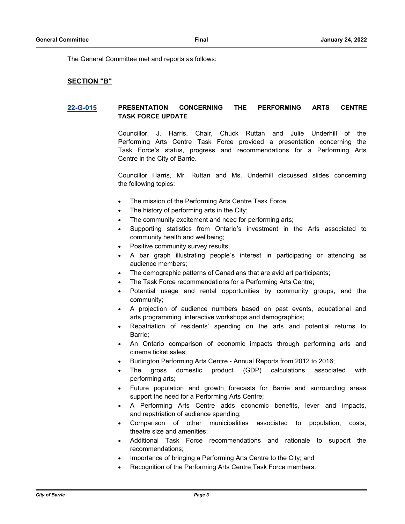The General Committee met and reports as follows:

# **SECTION "B"**

### **[22-G-015](http://barrie.ca.legistar.com/gateway.aspx?m=l&id=/matter.aspx?key=50018) PRESENTATION CONCERNING THE PERFORMING ARTS CENTRE TASK FORCE UPDATE**

Councillor, J. Harris, Chair, Chuck Ruttan and Julie Underhill of the Performing Arts Centre Task Force provided a presentation concerning the Task Force's status, progress and recommendations for a Performing Arts Centre in the City of Barrie.

Councillor Harris, Mr. Ruttan and Ms. Underhill discussed slides concerning the following topics:

- · The mission of the Performing Arts Centre Task Force;
- The history of performing arts in the City;
- The community excitement and need for performing arts;
- Supporting statistics from Ontario's investment in the Arts associated to community health and wellbeing;
- Positive community survey results;
- · A bar graph illustrating people's interest in participating or attending as audience members;
- The demographic patterns of Canadians that are avid art participants;
- The Task Force recommendations for a Performing Arts Centre;
- Potential usage and rental opportunities by community groups, and the community;
- · A projection of audience numbers based on past events, educational and arts programming, interactive workshops and demographics;
- Repatriation of residents' spending on the arts and potential returns to Barrie;
- · An Ontario comparison of economic impacts through performing arts and cinema ticket sales;
- · Burlington Performing Arts Centre Annual Reports from 2012 to 2016;
- The gross domestic product (GDP) calculations associated with performing arts;
- Future population and growth forecasts for Barrie and surrounding areas support the need for a Performing Arts Centre;
- · A Performing Arts Centre adds economic benefits, lever and impacts, and repatriation of audience spending;
- Comparison of other municipalities associated to population, costs, theatre size and amenities;
- Additional Task Force recommendations and rationale to support the recommendations;
- Importance of bringing a Performing Arts Centre to the City; and
- Recognition of the Performing Arts Centre Task Force members.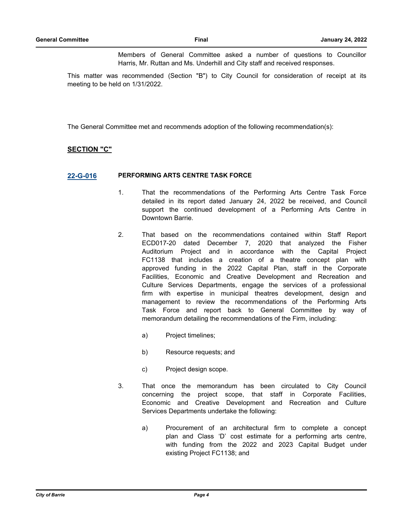Members of General Committee asked a number of questions to Councillor Harris, Mr. Ruttan and Ms. Underhill and City staff and received responses.

This matter was recommended (Section "B") to City Council for consideration of receipt at its meeting to be held on 1/31/2022.

The General Committee met and recommends adoption of the following recommendation(s):

#### **SECTION "C"**

#### **[22-G-016](http://barrie.ca.legistar.com/gateway.aspx?m=l&id=/matter.aspx?key=50019) PERFORMING ARTS CENTRE TASK FORCE**

- 1. That the recommendations of the Performing Arts Centre Task Force detailed in its report dated January 24, 2022 be received, and Council support the continued development of a Performing Arts Centre in Downtown Barrie.
- 2. That based on the recommendations contained within Staff Report ECD017-20 dated December 7, 2020 that analyzed the Fisher Auditorium Project and in accordance with the Capital Project FC1138 that includes a creation of a theatre concept plan with approved funding in the 2022 Capital Plan, staff in the Corporate Facilities, Economic and Creative Development and Recreation and Culture Services Departments, engage the services of a professional firm with expertise in municipal theatres development, design and management to review the recommendations of the Performing Arts Task Force and report back to General Committee by way of memorandum detailing the recommendations of the Firm, including:
	- a) Project timelines;
	- b) Resource requests; and
	- c) Project design scope.
- 3. That once the memorandum has been circulated to City Council concerning the project scope, that staff in Corporate Facilities, Economic and Creative Development and Recreation and Culture Services Departments undertake the following:
	- a) Procurement of an architectural firm to complete a concept plan and Class 'D' cost estimate for a performing arts centre, with funding from the 2022 and 2023 Capital Budget under existing Project FC1138; and